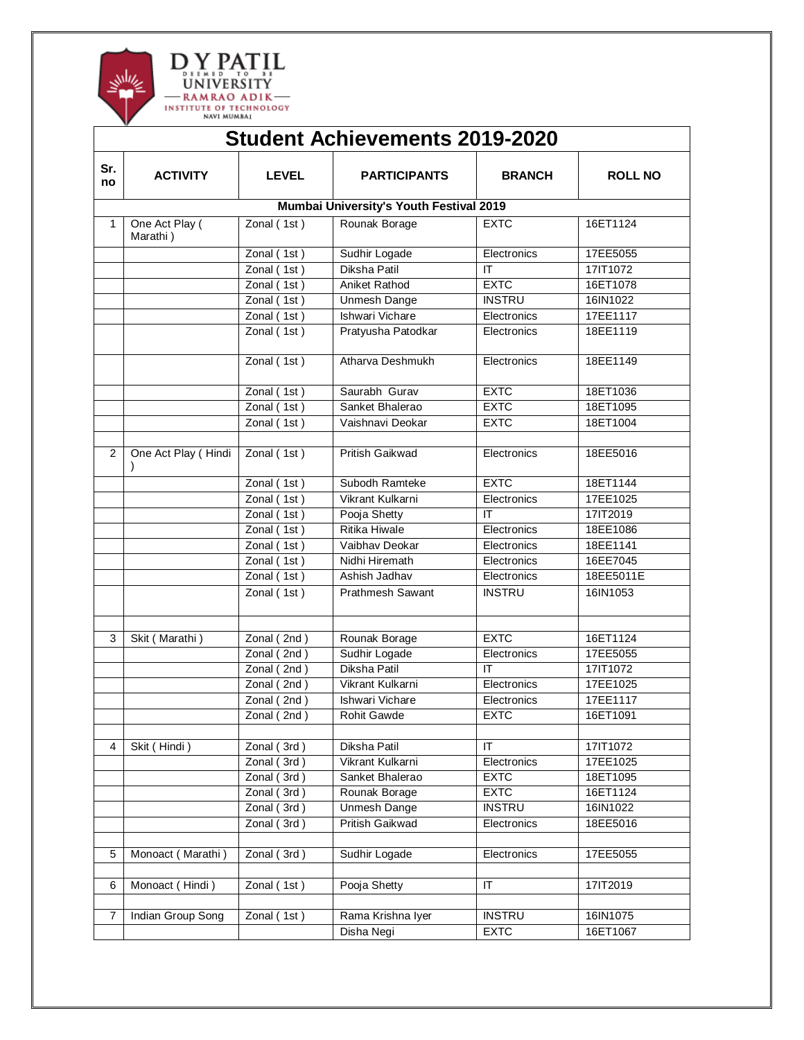

|                | <b>Student Achievements 2019-2020</b>   |               |                         |               |                |  |  |  |
|----------------|-----------------------------------------|---------------|-------------------------|---------------|----------------|--|--|--|
| Sr.<br>no      | <b>ACTIVITY</b>                         | <b>LEVEL</b>  | <b>PARTICIPANTS</b>     | <b>BRANCH</b> | <b>ROLL NO</b> |  |  |  |
|                | Mumbai University's Youth Festival 2019 |               |                         |               |                |  |  |  |
| 1              | One Act Play (<br>Marathi)              | Zonal(1st)    | Rounak Borage           | <b>EXTC</b>   | 16ET1124       |  |  |  |
|                |                                         | Zonal (1st)   | Sudhir Logade           | Electronics   | 17EE5055       |  |  |  |
|                |                                         | Zonal (1st)   | Diksha Patil            | IT            | 17IT1072       |  |  |  |
|                |                                         | Zonal (1st)   | Aniket Rathod           | <b>EXTC</b>   | 16ET1078       |  |  |  |
|                |                                         | Zonal (1st)   | Unmesh Dange            | <b>INSTRU</b> | 16IN1022       |  |  |  |
|                |                                         | Zonal (1st)   | Ishwari Vichare         | Electronics   | 17EE1117       |  |  |  |
|                |                                         | Zonal (1st)   | Pratyusha Patodkar      | Electronics   | 18EE1119       |  |  |  |
|                |                                         | Zonal (1st)   | Atharva Deshmukh        | Electronics   | 18EE1149       |  |  |  |
|                |                                         | Zonal (1st)   | Saurabh Gurav           | <b>EXTC</b>   | 18ET1036       |  |  |  |
|                |                                         | Zonal(1st)    | Sanket Bhalerao         | <b>EXTC</b>   | 18ET1095       |  |  |  |
|                |                                         | Zonal (1st)   | Vaishnavi Deokar        | <b>EXTC</b>   | 18ET1004       |  |  |  |
|                |                                         |               |                         |               |                |  |  |  |
| $\overline{2}$ | One Act Play (Hindi                     | Zonal (1st)   | <b>Pritish Gaikwad</b>  | Electronics   | 18EE5016       |  |  |  |
|                |                                         | Zonal (1st)   | Subodh Ramteke          | <b>EXTC</b>   | 18ET1144       |  |  |  |
|                |                                         | Zonal (1st)   | Vikrant Kulkarni        | Electronics   | 17EE1025       |  |  |  |
|                |                                         | Zonal(1st)    | Pooja Shetty            | ΙT            | 17IT2019       |  |  |  |
|                |                                         | Zonal (1st)   | Ritika Hiwale           | Electronics   | 18EE1086       |  |  |  |
|                |                                         | Zonal (1st)   | Vaibhav Deokar          | Electronics   | 18EE1141       |  |  |  |
|                |                                         | Zonal (1st)   | Nidhi Hiremath          | Electronics   | 16EE7045       |  |  |  |
|                |                                         | Zonal (1st)   | Ashish Jadhav           | Electronics   | 18EE5011E      |  |  |  |
|                |                                         | Zonal (1st)   | <b>Prathmesh Sawant</b> | <b>INSTRU</b> | 16IN1053       |  |  |  |
|                |                                         |               |                         |               |                |  |  |  |
| 3              | Skit (Marathi)                          | Zonal (2nd)   | Rounak Borage           | <b>EXTC</b>   | 16ET1124       |  |  |  |
|                |                                         | Zonal (2nd)   | Sudhir Logade           | Electronics   | 17EE5055       |  |  |  |
|                |                                         | Zonal $(2nd)$ | Diksha Patil            | ΙT            | 17IT1072       |  |  |  |
|                |                                         | Zonal (2nd)   | Vikrant Kulkarni        | Electronics   | 17EE1025       |  |  |  |
|                |                                         | Zonal (2nd)   | Ishwari Vichare         | Electronics   | 17EE1117       |  |  |  |
|                |                                         | Zonal (2nd)   | Rohit Gawde             | <b>EXTC</b>   | 16ET1091       |  |  |  |
|                |                                         |               |                         |               |                |  |  |  |
| 4              | Skit (Hindi)                            | Zonal (3rd)   | Diksha Patil            | ΙT            | 17IT1072       |  |  |  |
|                |                                         | Zonal (3rd)   | Vikrant Kulkarni        | Electronics   | 17EE1025       |  |  |  |
|                |                                         | Zonal (3rd)   | Sanket Bhalerao         | <b>EXTC</b>   | 18ET1095       |  |  |  |
|                |                                         | Zonal (3rd)   | Rounak Borage           | <b>EXTC</b>   | 16ET1124       |  |  |  |
|                |                                         | Zonal (3rd)   | <b>Unmesh Dange</b>     | <b>INSTRU</b> | 16IN1022       |  |  |  |
|                |                                         | Zonal (3rd)   | <b>Pritish Gaikwad</b>  | Electronics   | 18EE5016       |  |  |  |
| 5              | Monoact (Marathi)                       | Zonal (3rd)   | Sudhir Logade           | Electronics   | 17EE5055       |  |  |  |
|                |                                         |               |                         |               |                |  |  |  |
| 6              | Monoact (Hindi)                         | Zonal (1st)   | Pooja Shetty            | IT            | 17IT2019       |  |  |  |
|                |                                         |               |                         |               |                |  |  |  |
| $\overline{7}$ | Indian Group Song                       | Zonal (1st)   | Rama Krishna Iyer       | <b>INSTRU</b> | 16IN1075       |  |  |  |
|                |                                         |               | Disha Negi              | <b>EXTC</b>   | 16ET1067       |  |  |  |
|                |                                         |               |                         |               |                |  |  |  |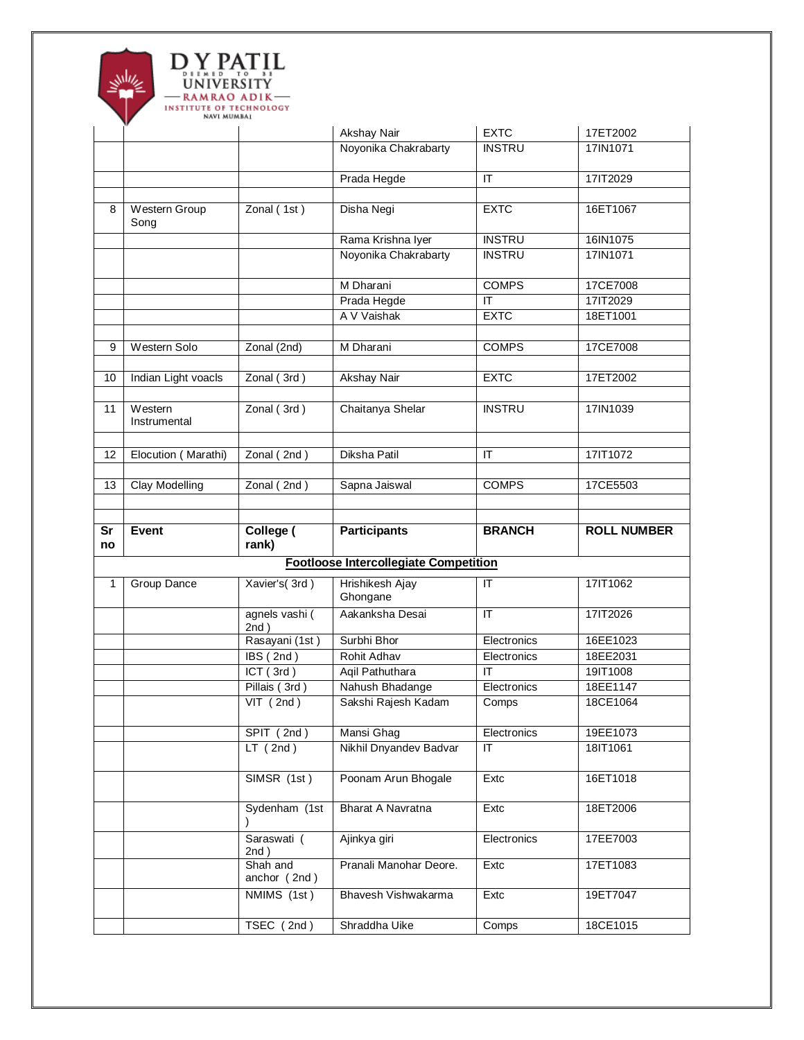

|          |                         |                               | Akshay Nair                                  | <b>EXTC</b>                       | 17ET2002           |
|----------|-------------------------|-------------------------------|----------------------------------------------|-----------------------------------|--------------------|
|          |                         |                               | Noyonika Chakrabarty                         | <b>INSTRU</b>                     | 17IN1071           |
|          |                         |                               | Prada Hegde                                  | $\mathsf{I}$                      | 17IT2029           |
| 8        | Western Group<br>Song   | Zonal (1st)                   | Disha Negi                                   | <b>EXTC</b>                       | 16ET1067           |
|          |                         |                               | Rama Krishna Iyer                            | <b>INSTRU</b>                     | 16IN1075           |
|          |                         |                               | Noyonika Chakrabarty                         | <b>INSTRU</b>                     | 17IN1071           |
|          |                         |                               | M Dharani                                    | <b>COMPS</b>                      | 17CE7008           |
|          |                         |                               | Prada Hegde                                  | $\overline{\mathsf{I}\mathsf{T}}$ | 17IT2029           |
|          |                         |                               | A V Vaishak                                  | <b>EXTC</b>                       | 18ET1001           |
| 9        | Western Solo            | Zonal (2nd)                   | M Dharani                                    | <b>COMPS</b>                      | 17CE7008           |
| 10       | Indian Light voacls     | Zonal (3rd)                   | <b>Akshay Nair</b>                           | <b>EXTC</b>                       | 17ET2002           |
| 11       | Western<br>Instrumental | $\overline{Z}$ onal (3rd)     | Chaitanya Shelar                             | <b>INSTRU</b>                     | 17IN1039           |
|          |                         | Zonal (2nd)                   | Diksha Patil                                 | ΙT                                |                    |
| 12       | Elocution (Marathi)     |                               |                                              |                                   | 17IT1072           |
| 13       | Clay Modelling          | Zonal (2nd)                   | Sapna Jaiswal                                | <b>COMPS</b>                      | 17CE5503           |
|          |                         |                               |                                              |                                   |                    |
|          |                         |                               |                                              |                                   |                    |
|          | Event                   | College (                     |                                              | <b>BRANCH</b>                     | <b>ROLL NUMBER</b> |
| Sr<br>no |                         | rank)                         | <b>Participants</b>                          |                                   |                    |
|          |                         |                               | <b>Footloose Intercollegiate Competition</b> |                                   |                    |
| 1        | Group Dance             | Xavier's (3rd)                | Hrishikesh Ajay<br>Ghongane                  | $\mathsf{I}$                      | 17IT1062           |
|          |                         | agnels vashi (<br>2nd)        | Aakanksha Desai                              | $\overline{\mathsf{I}\mathsf{T}}$ | 17IT2026           |
|          |                         | Rasayani (1st)                | Surbhi Bhor                                  | Electronics                       | 16EE1023           |
|          |                         | $\overline{\text{IBS}}$ (2nd) | Rohit Adhav                                  | Electronics                       | 18EE2031           |
|          |                         | ICT (3rd)                     | Aqil Pathuthara                              | ΙT                                | 19IT1008           |
|          |                         | Pillais (3rd)                 | Nahush Bhadange                              | Electronics                       | 18EE1147           |
|          |                         | $VIT$ (2nd)                   | Sakshi Rajesh Kadam                          | Comps                             | 18CE1064           |
|          |                         | SPIT (2nd)                    | Mansi Ghag                                   | Electronics                       | 19EE1073           |
|          |                         | LT(2nd)                       | Nikhil Dnyandev Badvar                       | ΙT                                | 18IT1061           |
|          |                         | SIMSR (1st)                   | Poonam Arun Bhogale                          | Extc                              | 16ET1018           |
|          |                         | Sydenham (1st                 | Bharat A Navratna                            | Extc                              | 18ET2006           |
|          |                         | Saraswati (<br>2nd)           | Ajinkya giri                                 | Electronics                       | 17EE7003           |
|          |                         | Shah and<br>anchor (2nd)      | Pranali Manohar Deore.                       | Extc                              | 17ET1083           |
|          |                         | NMIMS (1st)                   | Bhavesh Vishwakarma                          | Extc                              | 19ET7047           |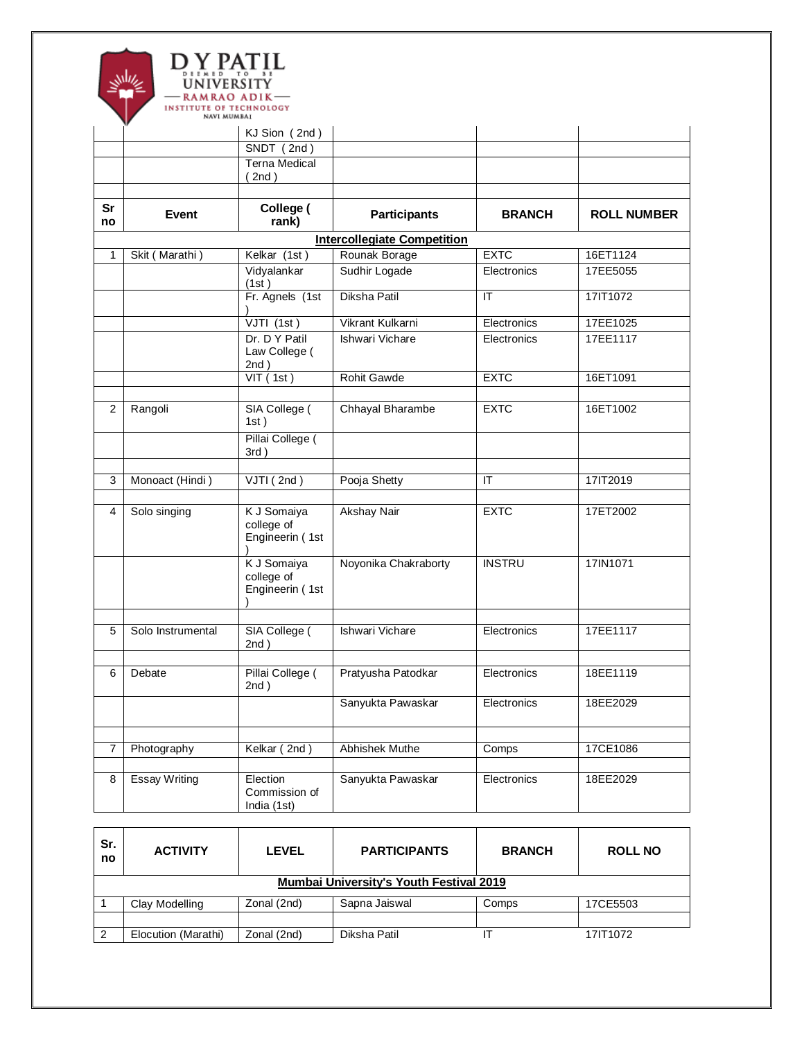

|                |                      | KJ Sion (2nd)                                |                                    |               |                    |
|----------------|----------------------|----------------------------------------------|------------------------------------|---------------|--------------------|
|                |                      | SNDT(2nd)                                    |                                    |               |                    |
|                |                      | <b>Terna Medical</b><br>$2nd$ )              |                                    |               |                    |
|                |                      |                                              |                                    |               |                    |
| Sr<br>no       | <b>Event</b>         | College (<br>rank)                           | <b>Participants</b>                | <b>BRANCH</b> | <b>ROLL NUMBER</b> |
|                |                      |                                              | <b>Intercollegiate Competition</b> |               |                    |
| 1              | Skit (Marathi)       | Kelkar (1st)                                 | Rounak Borage                      | <b>EXTC</b>   | 16ET1124           |
|                |                      | Vidyalankar<br>(1st)                         | Sudhir Logade                      | Electronics   | 17EE5055           |
|                |                      | Fr. Agnels (1st                              | Diksha Patil                       | IT            | 17IT1072           |
|                |                      | $VJTI$ (1st)                                 | Vikrant Kulkarni                   | Electronics   | 17EE1025           |
|                |                      | Dr. D Y Patil<br>Law College (<br>2nd)       | Ishwari Vichare                    | Electronics   | 17EE1117           |
|                |                      | VIT(1st)                                     | Rohit Gawde                        | <b>EXTC</b>   | 16ET1091           |
|                |                      |                                              |                                    |               |                    |
| $\overline{2}$ | Rangoli              | SIA College (<br>1st)                        | Chhayal Bharambe                   | <b>EXTC</b>   | 16ET1002           |
|                |                      | Pillai College (<br>$3rd$ )                  |                                    |               |                    |
| 3              | Monoact (Hindi)      | VJTI(2nd)                                    | Pooja Shetty                       | IT            | 17IT2019           |
|                |                      |                                              |                                    |               |                    |
| $\overline{4}$ | Solo singing         | K J Somaiya<br>college of<br>Engineerin (1st | <b>Akshay Nair</b>                 | <b>EXTC</b>   | 17ET2002           |
|                |                      | K J Somaiya<br>college of<br>Engineerin (1st | Noyonika Chakraborty               | <b>INSTRU</b> | 17IN1071           |
| 5              | Solo Instrumental    | SIA College (<br>2nd)                        | Ishwari Vichare                    | Electronics   | 17EE1117           |
|                |                      |                                              |                                    |               |                    |
| 6              | Debate               | Pillai College (<br>2nd)                     | Pratyusha Patodkar                 | Electronics   | 18EE1119           |
|                |                      |                                              | Sanyukta Pawaskar                  | Electronics   | 18EE2029           |
| $\overline{7}$ | Photography          | Kelkar (2nd)                                 | Abhishek Muthe                     | Comps         | 17CE1086           |
|                |                      |                                              |                                    |               |                    |
| 8              | <b>Essay Writing</b> | Election<br>Commission of<br>India (1st)     | Sanyukta Pawaskar                  | Electronics   | 18EE2029           |

| Sr.<br>no | <b>ACTIVITY</b>                         | <b>LEVEL</b> | <b>PARTICIPANTS</b> | <b>BRANCH</b> | <b>ROLL NO</b> |  |  |  |
|-----------|-----------------------------------------|--------------|---------------------|---------------|----------------|--|--|--|
|           | Mumbai University's Youth Festival 2019 |              |                     |               |                |  |  |  |
|           | Clay Modelling                          | Zonal (2nd)  | Sapna Jaiswal       | Comps         | 17CE5503       |  |  |  |
|           |                                         |              |                     |               |                |  |  |  |
| $\cdot$ 2 | Elocution (Marathi)                     | Zonal (2nd)  | Diksha Patil        |               | 17IT1072       |  |  |  |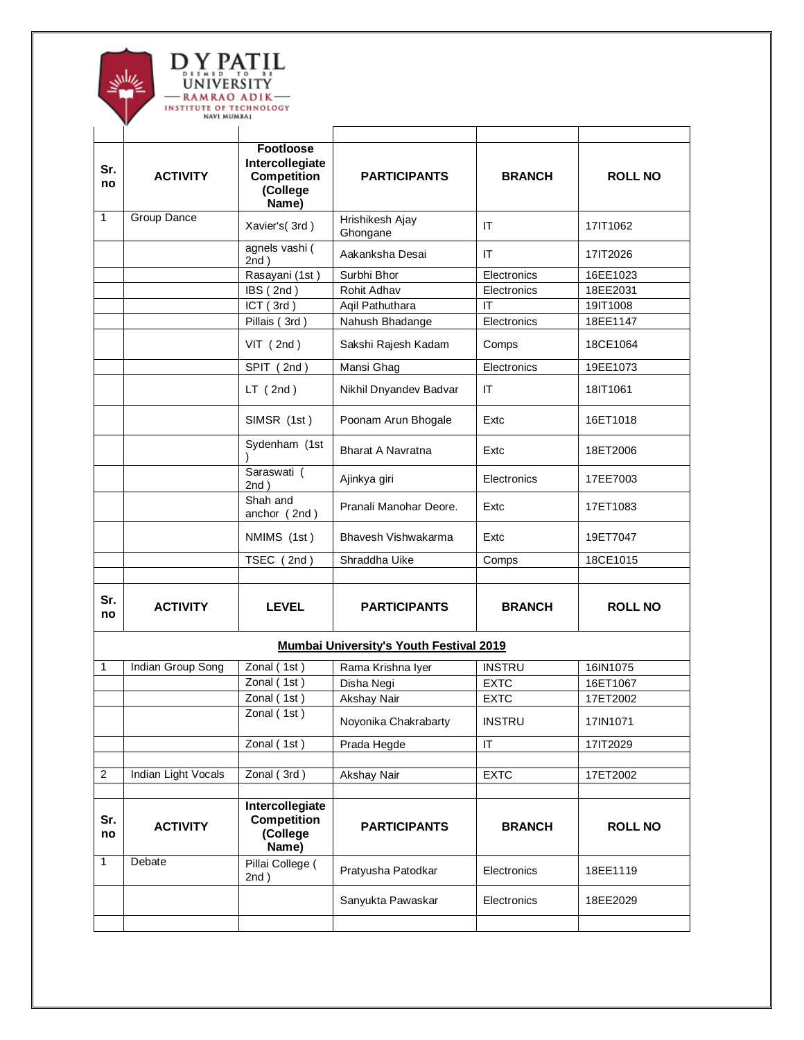

| Sr.<br>no      | <b>ACTIVITY</b>     | <b>Footloose</b><br>Intercollegiate<br><b>Competition</b><br>(College<br>Name) | <b>PARTICIPANTS</b>                            | <b>BRANCH</b> | <b>ROLL NO</b> |
|----------------|---------------------|--------------------------------------------------------------------------------|------------------------------------------------|---------------|----------------|
| 1              | Group Dance         | Xavier's (3rd)                                                                 | Hrishikesh Ajay<br>Ghongane                    | ΙT            | 17IT1062       |
|                |                     | agnels vashi (<br>2nd)                                                         | Aakanksha Desai                                | IT.           | 17IT2026       |
|                |                     | Rasayani (1st)                                                                 | Surbhi Bhor                                    | Electronics   | 16EE1023       |
|                |                     | IBS (2nd)                                                                      | Rohit Adhav                                    | Electronics   | 18EE2031       |
|                |                     | ICT (3rd)                                                                      | Agil Pathuthara                                | IT            | 19IT1008       |
|                |                     | Pillais (3rd)                                                                  | Nahush Bhadange                                | Electronics   | 18EE1147       |
|                |                     | $VIT$ (2nd)                                                                    | Sakshi Rajesh Kadam                            | Comps         | 18CE1064       |
|                |                     | SPIT (2nd)                                                                     | Mansi Ghag                                     | Electronics   | 19EE1073       |
|                |                     | LT(2nd)                                                                        | Nikhil Dnyandev Badvar                         | ΙT            | 18IT1061       |
|                |                     | SIMSR (1st)                                                                    | Poonam Arun Bhogale                            | Extc          | 16ET1018       |
|                |                     | Sydenham (1st                                                                  | Bharat A Navratna                              | Extc          | 18ET2006       |
|                |                     | Saraswati (<br>2nd)                                                            | Ajinkya giri                                   | Electronics   | 17EE7003       |
|                |                     | Shah and<br>anchor (2nd)                                                       | Pranali Manohar Deore.                         | Extc          | 17ET1083       |
|                |                     | NMIMS (1st)                                                                    | Bhavesh Vishwakarma                            | Extc          | 19ET7047       |
|                |                     | TSEC (2nd)                                                                     | Shraddha Uike                                  | Comps         | 18CE1015       |
|                |                     |                                                                                |                                                |               |                |
| Sr.<br>no      | <b>ACTIVITY</b>     | <b>LEVEL</b>                                                                   | <b>PARTICIPANTS</b>                            | <b>BRANCH</b> | <b>ROLL NO</b> |
|                |                     |                                                                                | <b>Mumbai University's Youth Festival 2019</b> |               |                |
| 1              | Indian Group Song   | Zonal (1st)                                                                    | Rama Krishna Iyer                              | <b>INSTRU</b> | 16IN1075       |
|                |                     | Zonal (1st)                                                                    | Disha Negi                                     | <b>EXTC</b>   | 16ET1067       |
|                |                     | Zonal (1st)                                                                    | Akshay Nair                                    | <b>EXTC</b>   | 17ET2002       |
|                |                     | Zonal (1st)                                                                    | Noyonika Chakrabarty                           | <b>INSTRU</b> | 17IN1071       |
|                |                     | Zonal $(1st)$                                                                  | Prada Hegde                                    | ΙT            | 17IT2029       |
|                |                     |                                                                                |                                                |               |                |
| $\overline{c}$ | Indian Light Vocals | Zonal (3rd)                                                                    | Akshay Nair                                    | <b>EXTC</b>   | 17ET2002       |
| Sr.<br>no      | <b>ACTIVITY</b>     | Intercollegiate<br><b>Competition</b><br>(College<br>Name)                     | <b>PARTICIPANTS</b>                            | <b>BRANCH</b> | <b>ROLL NO</b> |
| $\mathbf{1}$   | Debate              | Pillai College (<br>2nd)                                                       | Pratyusha Patodkar                             | Electronics   | 18EE1119       |
|                |                     |                                                                                | Sanyukta Pawaskar                              | Electronics   | 18EE2029       |
|                |                     |                                                                                |                                                |               |                |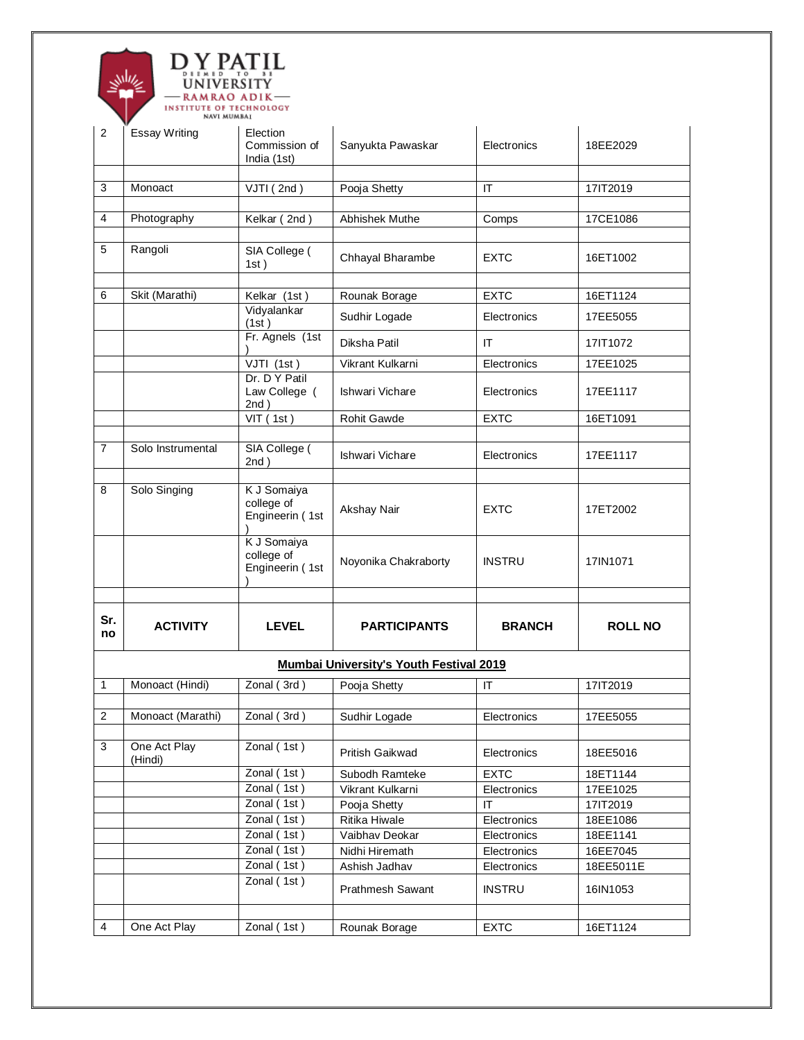

|                         | INSTITUTE OF TECHNOLOGY<br>NAVI MUMBAI |                                              |                                                |                        |                |
|-------------------------|----------------------------------------|----------------------------------------------|------------------------------------------------|------------------------|----------------|
| 2                       | <b>Essay Writing</b>                   | Election<br>Commission of<br>India (1st)     | Sanyukta Pawaskar                              | Electronics            | 18EE2029       |
| 3                       | Monoact                                | VJTI (2nd)                                   | Pooja Shetty                                   | IT                     | 17IT2019       |
|                         |                                        |                                              |                                                |                        |                |
| 4                       | Photography                            | Kelkar (2nd)                                 | Abhishek Muthe                                 | Comps                  | 17CE1086       |
|                         |                                        |                                              |                                                |                        |                |
| 5                       | Rangoli                                | SIA College (<br>1st)                        | Chhayal Bharambe                               | EXTC                   | 16ET1002       |
| 6                       | Skit (Marathi)                         | Kelkar (1st)                                 |                                                | <b>EXTC</b>            | 16ET1124       |
|                         |                                        | Vidyalankar                                  | Rounak Borage                                  |                        |                |
|                         |                                        | (1st)                                        | Sudhir Logade                                  | Electronics            | 17EE5055       |
|                         |                                        | Fr. Agnels (1st                              | Diksha Patil                                   | IT                     | 17IT1072       |
|                         |                                        | VJTI (1st)                                   | Vikrant Kulkarni                               | Electronics            | 17EE1025       |
|                         |                                        | Dr. D Y Patil<br>Law College (<br>2nd)       | Ishwari Vichare                                | Electronics            | 17EE1117       |
|                         |                                        | VIT (1st)                                    | Rohit Gawde                                    | <b>EXTC</b>            | 16ET1091       |
|                         |                                        |                                              |                                                |                        |                |
| $\overline{7}$          | Solo Instrumental                      | SIA College (<br>2nd)                        | Ishwari Vichare                                | Electronics            | 17EE1117       |
| 8                       | Solo Singing                           | K J Somaiya<br>college of<br>Engineerin (1st | Akshay Nair                                    | <b>EXTC</b>            | 17ET2002       |
|                         |                                        | K J Somaiya<br>college of<br>Engineerin (1st | Noyonika Chakraborty                           | <b>INSTRU</b>          | 17IN1071       |
| Sr.<br>no               | <b>ACTIVITY</b>                        | <b>LEVEL</b>                                 | <b>PARTICIPANTS</b>                            | <b>BRANCH</b>          | <b>ROLL NO</b> |
|                         |                                        |                                              | <b>Mumbai University's Youth Festival 2019</b> |                        |                |
| 1                       | Monoact (Hindi)                        | Zonal (3rd)                                  | Pooja Shetty                                   | IT                     | 17IT2019       |
|                         |                                        |                                              |                                                |                        |                |
| $\overline{\mathbf{c}}$ | Monoact (Marathi)                      | Zonal (3rd)                                  | Sudhir Logade                                  | Electronics            | 17EE5055       |
|                         |                                        |                                              |                                                |                        |                |
| 3                       | One Act Play<br>(Hindi)                | Zonal (1st)                                  | Pritish Gaikwad                                | Electronics            | 18EE5016       |
|                         |                                        | Zonal (1st)                                  | Subodh Ramteke                                 | <b>EXTC</b>            | 18ET1144       |
|                         |                                        | Zonal (1st)                                  | Vikrant Kulkarni                               | Electronics            | 17EE1025       |
|                         |                                        | Zonal (1st)                                  | Pooja Shetty                                   | $\mathsf{I}\mathsf{T}$ | 17IT2019       |
|                         |                                        | Zonal (1st)                                  | Ritika Hiwale                                  | Electronics            | 18EE1086       |
|                         |                                        | Zonal (1st)                                  | Vaibhav Deokar                                 | Electronics            | 18EE1141       |
|                         |                                        | Zonal (1st)                                  | Nidhi Hiremath                                 | Electronics            | 16EE7045       |
|                         |                                        | Zonal (1st)                                  | Ashish Jadhav                                  | Electronics            | 18EE5011E      |
|                         |                                        | Zonal (1st)                                  | Prathmesh Sawant                               | <b>INSTRU</b>          | 16IN1053       |
|                         |                                        |                                              |                                                |                        |                |
| 4                       | One Act Play                           | Zonal (1st)                                  | Rounak Borage                                  | <b>EXTC</b>            | 16ET1124       |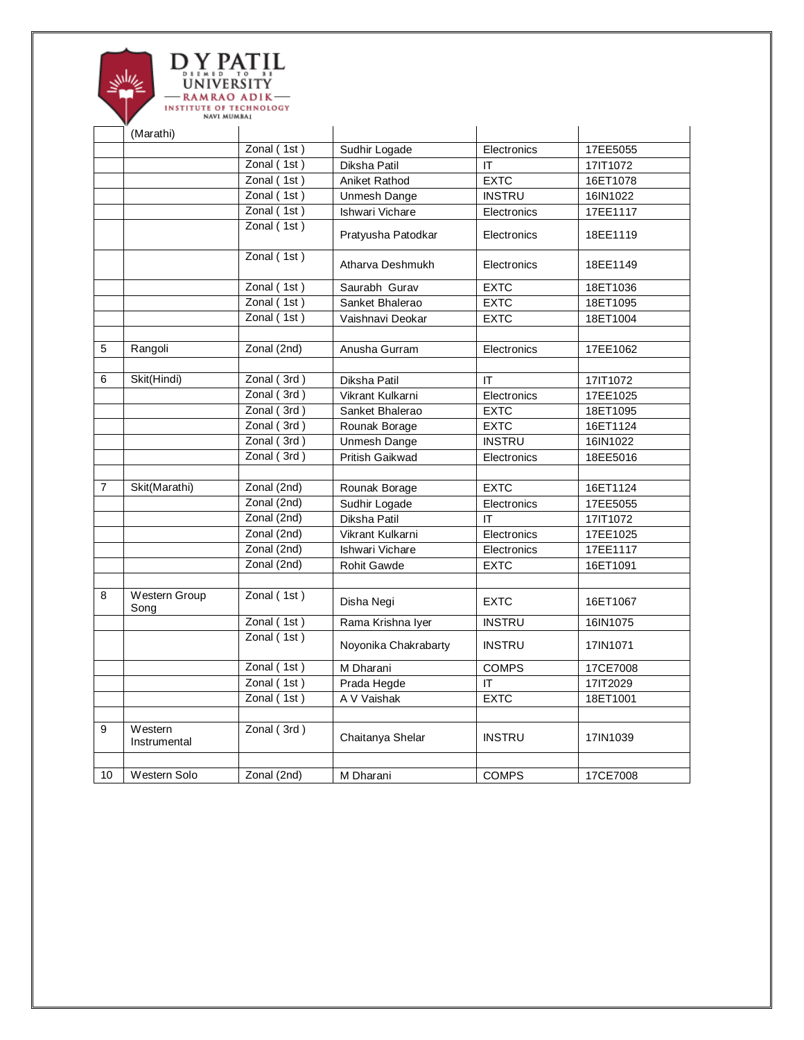

|                | (Marathi)                    |             |                      |               |          |
|----------------|------------------------------|-------------|----------------------|---------------|----------|
|                |                              | Zonal (1st) | Sudhir Logade        | Electronics   | 17EE5055 |
|                |                              | Zonal (1st) | Diksha Patil         | IT            | 17IT1072 |
|                |                              | Zonal (1st) | Aniket Rathod        | <b>EXTC</b>   | 16ET1078 |
|                |                              | Zonal (1st) | Unmesh Dange         | <b>INSTRU</b> | 16IN1022 |
|                |                              | Zonal (1st) | Ishwari Vichare      | Electronics   | 17EE1117 |
|                |                              | Zonal(1st)  | Pratyusha Patodkar   | Electronics   | 18EE1119 |
|                |                              | Zonal (1st) | Atharva Deshmukh     | Electronics   | 18EE1149 |
|                |                              | Zonal (1st) | Saurabh Gurav        | <b>EXTC</b>   | 18ET1036 |
|                |                              | Zonal(1st)  | Sanket Bhalerao      | <b>EXTC</b>   | 18ET1095 |
|                |                              | Zonal (1st) | Vaishnavi Deokar     | <b>EXTC</b>   | 18ET1004 |
|                |                              |             |                      |               |          |
| 5              | Rangoli                      | Zonal (2nd) | Anusha Gurram        | Electronics   | 17EE1062 |
|                |                              |             |                      |               |          |
| 6              | Skit(Hindi)                  | Zonal (3rd) | Diksha Patil         | IT            | 17IT1072 |
|                |                              | Zonal (3rd) | Vikrant Kulkarni     | Electronics   | 17EE1025 |
|                |                              | Zonal (3rd) | Sanket Bhalerao      | <b>EXTC</b>   | 18ET1095 |
|                |                              | Zonal (3rd) | Rounak Borage        | <b>EXTC</b>   | 16ET1124 |
|                |                              | Zonal (3rd) | Unmesh Dange         | <b>INSTRU</b> | 16IN1022 |
|                |                              | Zonal (3rd) | Pritish Gaikwad      | Electronics   | 18EE5016 |
|                |                              |             |                      |               |          |
| $\overline{7}$ | Skit(Marathi)                | Zonal (2nd) | Rounak Borage        | <b>EXTC</b>   | 16ET1124 |
|                |                              | Zonal (2nd) | Sudhir Logade        | Electronics   | 17EE5055 |
|                |                              | Zonal (2nd) | Diksha Patil         | IT.           | 17IT1072 |
|                |                              | Zonal (2nd) | Vikrant Kulkarni     | Electronics   | 17EE1025 |
|                |                              | Zonal (2nd) | Ishwari Vichare      | Electronics   | 17EE1117 |
|                |                              | Zonal (2nd) | <b>Rohit Gawde</b>   | <b>EXTC</b>   | 16ET1091 |
| 8              | <b>Western Group</b><br>Song | Zonal (1st) | Disha Negi           | <b>EXTC</b>   | 16ET1067 |
|                |                              | Zonal (1st) | Rama Krishna Iyer    | <b>INSTRU</b> | 16IN1075 |
|                |                              | Zonal(1st)  | Noyonika Chakrabarty | <b>INSTRU</b> | 17IN1071 |
|                |                              | Zonal (1st) | M Dharani            | <b>COMPS</b>  | 17CE7008 |
|                |                              | Zonal (1st) | Prada Hegde          | IT            | 17IT2029 |
|                |                              | Zonal (1st) | A V Vaishak          | <b>EXTC</b>   | 18ET1001 |
|                |                              |             |                      |               |          |
| 9              | Western<br>Instrumental      | Zonal (3rd) | Chaitanya Shelar     | <b>INSTRU</b> | 17IN1039 |
| 10             | Western Solo                 | Zonal (2nd) | M Dharani            | <b>COMPS</b>  | 17CE7008 |